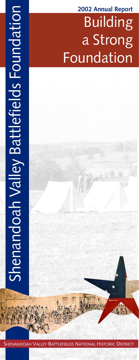# Building a Strong Foundation **2002 Annual Report**

SHENANDOAH VALLEY BATTLEFIELDS NATIONAL HISTORIC DISTRICT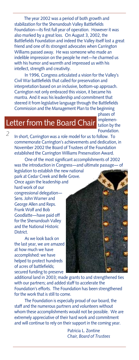The year 2002 was a period of both growth and stabilization for the Shenandoah Valley Battlefields Foundation—its first full year of operation. However it was also marked by a great loss. On August 3, 2002, the Battlefields Foundation and indeed the Valley itself lost a great friend and one of its strongest advocates when Carrington Williams passed away. He was someone who made an indelible impression on the people he met—he charmed us with his humor and warmth and impressed us with his intellect, strength and creativity.

In 1996, Congress articulated a vision for the Valley's Civil War battlefields that called for preservation and interpretation based on an inclusive, bottom-up approach. Carrington not only embraced this vision, it became his mantra. And it was his leadership and commitment that steered it from legislative language through the Battlefields Commission and the Management Plan to the beginning

> phases of implementation by the Foundation.

# Letter from the Board Chair

*2*

In short, Carrington was a role model for us to follow. To commemorate Carrington's achievements and dedication, in November 2002 the Board of Trustees of the Foundation established the Carrington Williams Preservation Award.

One of the most significant accomplishments of 2002 was the introduction in Congress—and ultimate passage— of legislation to establish the new national

park at Cedar Creek and Belle Grove. Once again the leadership and hard work of our

congressional delegation— Sens. John Warner and George Allen and Reps. Frank Wolf and Bob Goodlatte—have paid off for the Shenandoah Valley and the National Historic District.

As we look back on the last year, we are amazed at how much we have accomplished: we have helped to protect hundreds of acres of battlefields; secured funding to preserve

additional land in 2003; made grants to and strengthened ties with our partners; and added staff to accelerate the Foundation's efforts. The Foundation has been strengthened for the work that is still to come.

The Foundation is especially proud of our board, the staff and the numerous partners and volunteers without whom these accomplishments would not be possible. We are extremely appreciative of their hard work and commitment and will continue to rely on their support in the coming year.

> Patricia L. Zontine *Chair, Board of Trustees*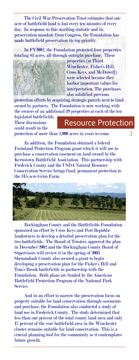The Civil War Preservation Trust estimates that one acre of battlefield land is lost every ten minutes of every day. In response to this startling statistic and its preservation mandate from Congress, the Foundation has made battlefield preservation its top priority.

In FY2002, the Foundation protected four properties totaling 81 acres, all through outright purchase. These



properties (at Third Winchester, Fisher's Hill, Cross Keys, and McDowell) were selected because they harbor important values for interpretation. The purchases also solidified previous

protection efforts by acquiring strategic parcels next to land owned by partners. The Foundation is now working with the owners of an additional 19 properties at each of the ten legislated battlefields.

These discussions could result in the

### Resource Protection

*3*

protection of more than 2,000 acres in years to come.

In addition, the Foundation obtained a federal Farmland Protection Program grant which it will use to purchase a conservation easement on land owned by the Kernstown Battlefield Association. This partnership with Frederick County and the USDA Natural Resource Conservation Service brings final, permanent protection to the 315-acre Grim Farm.



Rockingham County and the Battlefields Foundation sponsored an effort by Cross Keys and Port Republic landowners to develop a detailed preservation plan for the two battlefields. The Board of Trustees approved the plan in December 2002 and the Rockingham County Board of Supervisors will review it in the spring of 2003. Shenandoah County also secured a grant to begin developing a preservation plan for the Fisher's Hill and Tom's Brook battlefields in partnership with the Foundation. Both plans are funded by the American Battlefield Protection Program of the National Park Service.

And in an effort to narrow the preservation focus on property suitable for land conservation through easements and purchase, the Foundation also conducted a study of land use in Frederick County. The study determined that less than one percent of the total county land area and only 17 percent of the core battlefield area in the Winchester cluster remains suitable for land conservation. This is a crucial planning tool for the community as it contemplates future growth.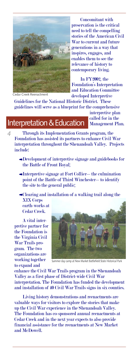

 Concomitant with preservation is the critical need to tell the compelling stories of the American Civil War to current and future generations in a way that inspires, engages, and enables them to see the relevance of history to contemporary living.

 In FY2002, the Foundation's Interpretation and Education Committee developed Interpretive

Cedar Creek Reenactment

*4*

Guidelines for the National Historic District. These guidelines will serve as a blueprint for the comprehensive

### Interpretation & Education

interpretive plan called for in the Management Plan.

Through its Implementation Grants program, the Foundation has assisted its partners to enhance Civil War interpretation throughout the Shenandoah Valley. Projects include:

- Development of interpretive signage and guidebooks for the Battle of Front Royal;
- Interpretive signage at Fort Collier—the culmination point of the Battle of Third Winchester—to identify the site to the general public;

Clearing and installation of a walking trail along the XIX Corps earth-works at

Cedar Creek.

A vital interpretive partner for the Foundation is the Virginia Civil War Trails program. The two organizations are working together to expand and



Summer day camp at New Market Battlefield State Historical Park

enhance the Civil War Trails program in the Shenandoah Valley as a first phase of District-wide Civil War interpretation. The Foundation has funded the development and installation of 40 Civil War Trails signs in six counties.

Living history demonstrations and reenactments are valuable ways for visitors to explore the stories that make up the Civil War experience in the Shenandoah Valley. The Foundation has co-sponsored annual reenactments at Cedar Creek and in the next year expects to also provide financial assistance for the reenactments at New Market and McDowell.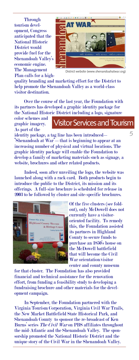**Through** tourism development, Congress anticipated that the National Historic District would provide fuel for the Shenandoah Valley's economic engine. The Management Plan calls for a high-



District website (www.shenandoahatwar.org)

quality branding and marketing effort for the District to help promote the Shenandoah Valley as a world-class visitor destination.

Over the course of the last year, the Foundation with its partners has developed a graphic identity package for the National Historic District including a logo, signature

color schemes and graphic imagery. As part of the

## Visitor Services and Tourism

identity package, a tag line has been introduced— "Shenandoah at War"—that is beginning to appear at an increasing number of physical and virtual locations. The graphic identity package will enable the Foundation to develop a family of marketing materials such as signage, a website, brochures and other related products.

Indeed, soon after unveiling the logo, the website was launched along with a rack card. Both products begin to introduce the public to the District, its mission and its offerings. A full-size brochure is scheduled for release in 2003 to be followed by cluster and site-specific brochures.



Of the five clusters (see foldout), only McDowell does not currently have a visitororiented facility. To remedy this, the Foundation assisted its partners in Highland County to secure funds to purchase an 1850's house on the McDowell battlefield that will become the Civil War orientation/visitor center and county museum

for that cluster. The Foundation has also provided financial and technical assistance for the renovation effort, from funding a feasibility study to developing a fundraising brochure and other materials for the development campaign.

In September, the Foundation partnered with the Virginia Tourism Corporation, Virginia Civil War Trails, the New Market Battlefield State Historical Park, and Shenandoah County to sponsor the re-broadcast of Ken Burns' series *The Civil War* on PBS affiliates throughout the mid-Atlantic and the Shenandoah Valley. The sponsorship promoted the National Historic District and the unique story of the Civil War in the Shenandoah Valley.

*5*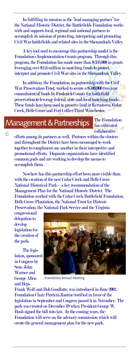In fulfilling its mission as the "lead managing partner" for the National Historic District, the Battlefields Foundation works with and supports local, regional and national partners to accomplish its mission of protecting, interpreting and promoting Civil War battlefields and related sites in the Shenandoah Valley.

A key tool used to encourage this partnership model is the Foundation's Implementation Grants program. Through this program, the Foundation has made more than \$333,000 in grants leveraging over \$1.6 million in matching funds to protect, interpret and promote Civil War sites in the Shenandoah Valley.

In addition, the Foundation, in partnership with the Civil War Preservation Trust, worked to secure a \$500,000 two-year commitment of funds by Frederick County for battlefield preservation to leverage federal, state and local matching funds. These funds have been used to preserve land at Kernstown, Cedar Creek, Belle Grove and Fort Collier/Third Winchester.

### Management & Partnerships

The Foundation has cultivated collaborative

efforts among its partners as well. Partners within the clusters and throughout the District have been encouraged to work together to compliment one another in their interpretive and promotional efforts. Disparate organizations have identified common goals and are working to develop the means to accomplish them.

Nowhere has this partnership effort been more visible than with the creation of the new Cedar Creek and Belle Grove National Historical Park—a key recommendation of the Management Plan for the National Historic District. The Foundation worked with the Cedar Creek Battlefield Foundation, Belle Grove Plantation, the National Trust for Historic Preservation, the National Park Service and the Virginia

congressional delegation to develop legislation for the creation of the park.

*6*

The legislation, sponsored in Congress by Sens. John Warner and George Allen and Reps.



Foundation Annual Meeting

Frank Wolf and Bob Goodlatte, was introduced in June 2002. Foundation Chair Patricia Zontine testified in favor of the legislation in September and Congress passed it in November. The park was created on December 19 when President George W. Bush signed the bill into law. In the coming years, the Foundation will serve on the advisory commission which will create the general management plan for the new park.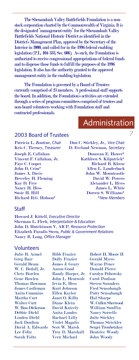The Shenandoah Valley Battlefields Foundation is a nonstock corporation charted by the Commonwealth of Virginia. It is the designated "management entity" for the Shenandoah Valley Battlefields National Historic District as identified in the District's Management Plan, approved by the Secretary of the Interior in 2000, and called for in the 1996 federal enabling legislation (P.L. 104-333, Sec. 606). As such, the Foundation is authorized to receive congressional appropriations of federal funds and to dispense those funds to fulfill the purposes of the 1996 legislation. It also has the authority granted to the approved management entity in the enabling legislation.

The Foundation is governed by a Board of Trustees currently comprised of 23 members. A professional staff supports the board. In addition, the Foundation's activities are extended through a series of program committees comprised of trustees and non-board volunteers working with Foundation staff and contracted professionals.

# Administration

*7*

### 2003 Board of Trustees

Joseph E. Callahan Donovan E. Hower\* Vincent F. Callahan, Jr. Kathleen S. Kilpatrick\* Faye C. Cooper Richard B. Kleese John D. Crim\* Allen L. Louderback James A. Davis John W. Mountcastle Beverley H. Fleming David W. Powers Kay D. Frye Alexander L. Rives Nancy H. Hess James L. White Richard R.G. Hobson\* *\*New Members*

Patricia L. Zontine, *Chair* Dan C. Stickley, Jr., *Vice Chair* Kris C. Tierney, *Treasurer* D. Eveland Newman, *Secretary*

Doreen S. Williams\*

#### **Staff**

Howard J. Kittell, *Executive Director* Sherman L. Fleek, *Interpretation & Education* John D. Hutchinson V, AICP, *Resource Protection* Elizabeth Paradis Stern, *Public & Government Relations* Nancy R. Long, *Office Manager*

#### Volunteers

Julie B. Armel Greg Bair Gerald Beam W. C. Bedall, Jr. Chris Bowlen Gene Bowlen Thomas Bowman James Castleman Anita Cummins Martha Curt Walter Curt W. Ross Dickerson Debbie Diehl Linden Diehl Jack Doulton David A. Edwards Lee Foltz Sarah Foltz

Bibb Frazier Dolly Frazier James J. Geary Aaron Good Randy Harper, Jr. John L. Heatwole Irvin E. Hess Kurt Johnson Ellen Kaylor Janet O. Kilby Diane Klein David Knicely Anita Landes Rachael Lilly Violet Magalis Scot W. Marsh Troy D. Marshall Vern Michael

Robert H. Moore II Gerald Myers Wayne Pence Donald Pierce Carolyn Pohowsky Carol Poulson Steven Saunders Fred Sensabaugh Patty Sensabaugh Hal Sharpe W. Cullen Sherwood William Snuffin Nancy Sorrells Julie Stickley Thomas Strickler Sergei Troubetzkoy Beatrice Woody John Woody